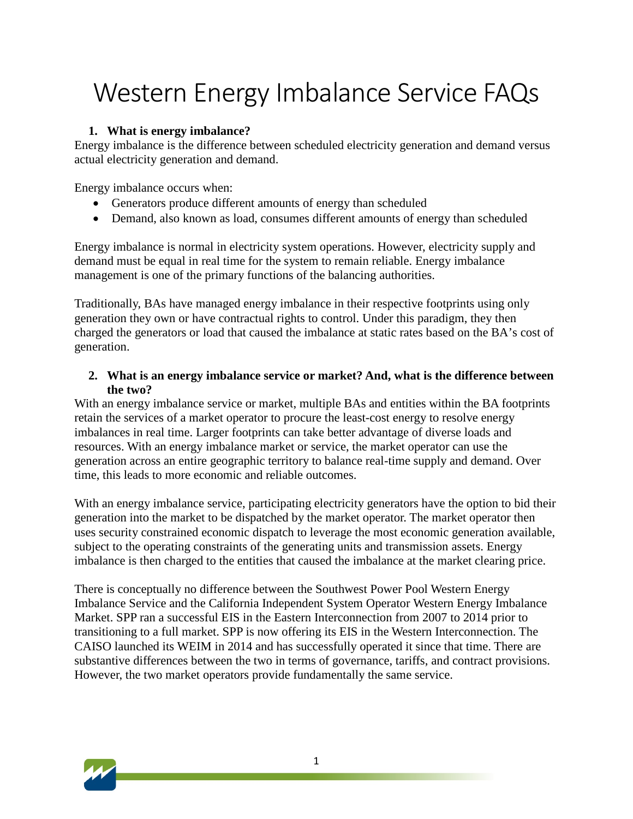# Western Energy Imbalance Service FAQs

# **1. What is energy imbalance?**

Energy imbalance is the difference between scheduled electricity generation and demand versus actual electricity generation and demand.

Energy imbalance occurs when:

- Generators produce different amounts of energy than scheduled
- Demand, also known as load, consumes different amounts of energy than scheduled

Energy imbalance is normal in electricity system operations. However, electricity supply and demand must be equal in real time for the system to remain reliable. Energy imbalance management is one of the primary functions of the balancing authorities.

Traditionally, BAs have managed energy imbalance in their respective footprints using only generation they own or have contractual rights to control. Under this paradigm, they then charged the generators or load that caused the imbalance at static rates based on the BA's cost of generation.

#### **2. What is an energy imbalance service or market? And, what is the difference between the two?**

With an energy imbalance service or market, multiple BAs and entities within the BA footprints retain the services of a market operator to procure the least-cost energy to resolve energy imbalances in real time. Larger footprints can take better advantage of diverse loads and resources. With an energy imbalance market or service, the market operator can use the generation across an entire geographic territory to balance real-time supply and demand. Over time, this leads to more economic and reliable outcomes.

With an energy imbalance service, participating electricity generators have the option to bid their generation into the market to be dispatched by the market operator. The market operator then uses security constrained economic dispatch to leverage the most economic generation available, subject to the operating constraints of the generating units and transmission assets. Energy imbalance is then charged to the entities that caused the imbalance at the market clearing price.

There is conceptually no difference between the Southwest Power Pool Western Energy Imbalance Service and the California Independent System Operator Western Energy Imbalance Market. SPP ran a successful EIS in the Eastern Interconnection from 2007 to 2014 prior to transitioning to a full market. SPP is now offering its EIS in the Western Interconnection. The CAISO launched its WEIM in 2014 and has successfully operated it since that time. There are substantive differences between the two in terms of governance, tariffs, and contract provisions. However, the two market operators provide fundamentally the same service.

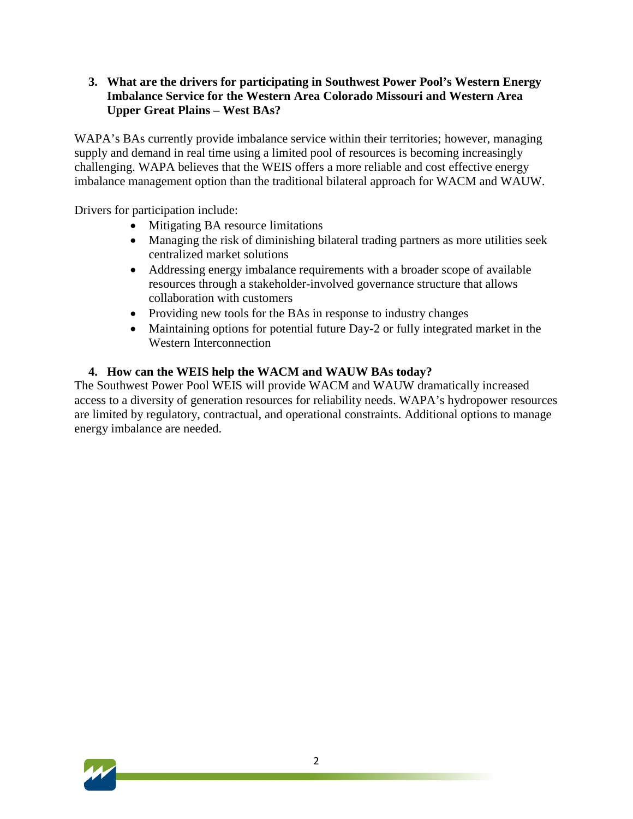#### **3. What are the drivers for participating in Southwest Power Pool's Western Energy Imbalance Service for the Western Area Colorado Missouri and Western Area Upper Great Plains – West BAs?**

WAPA's BAs currently provide imbalance service within their territories; however, managing supply and demand in real time using a limited pool of resources is becoming increasingly challenging. WAPA believes that the WEIS offers a more reliable and cost effective energy imbalance management option than the traditional bilateral approach for WACM and WAUW.

Drivers for participation include:

- Mitigating BA resource limitations
- Managing the risk of diminishing bilateral trading partners as more utilities seek centralized market solutions
- Addressing energy imbalance requirements with a broader scope of available resources through a stakeholder-involved governance structure that allows collaboration with customers
- Providing new tools for the BAs in response to industry changes
- Maintaining options for potential future Day-2 or fully integrated market in the Western Interconnection

## **4. How can the WEIS help the WACM and WAUW BAs today?**

The Southwest Power Pool WEIS will provide WACM and WAUW dramatically increased access to a diversity of generation resources for reliability needs. WAPA's hydropower resources are limited by regulatory, contractual, and operational constraints. Additional options to manage energy imbalance are needed.

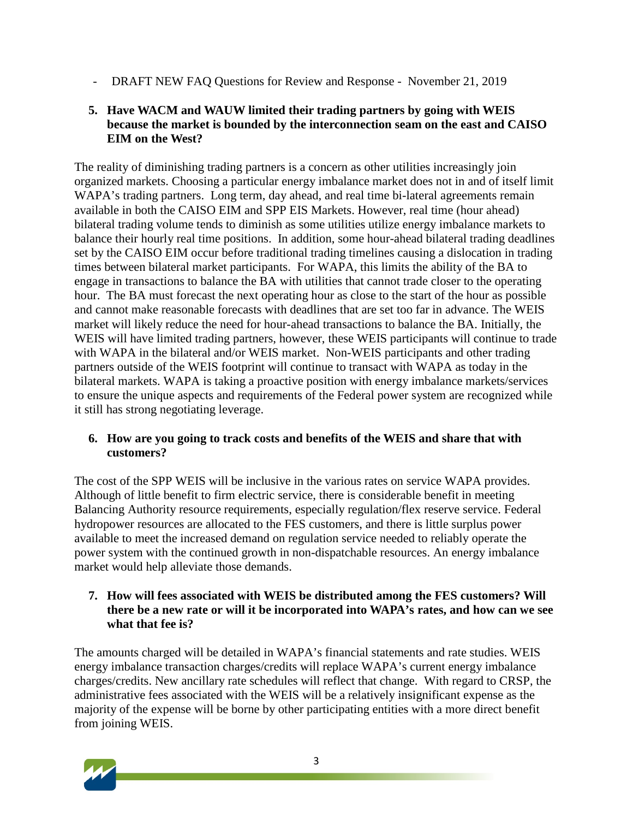- DRAFT NEW FAQ Questions for Review and Response - November 21, 2019

#### **5. Have WACM and WAUW limited their trading partners by going with WEIS because the market is bounded by the interconnection seam on the east and CAISO EIM on the West?**

The reality of diminishing trading partners is a concern as other utilities increasingly join organized markets. Choosing a particular energy imbalance market does not in and of itself limit WAPA's trading partners. Long term, day ahead, and real time bi-lateral agreements remain available in both the CAISO EIM and SPP EIS Markets. However, real time (hour ahead) bilateral trading volume tends to diminish as some utilities utilize energy imbalance markets to balance their hourly real time positions. In addition, some hour-ahead bilateral trading deadlines set by the CAISO EIM occur before traditional trading timelines causing a dislocation in trading times between bilateral market participants. For WAPA, this limits the ability of the BA to engage in transactions to balance the BA with utilities that cannot trade closer to the operating hour. The BA must forecast the next operating hour as close to the start of the hour as possible and cannot make reasonable forecasts with deadlines that are set too far in advance. The WEIS market will likely reduce the need for hour-ahead transactions to balance the BA. Initially, the WEIS will have limited trading partners, however, these WEIS participants will continue to trade with WAPA in the bilateral and/or WEIS market. Non-WEIS participants and other trading partners outside of the WEIS footprint will continue to transact with WAPA as today in the bilateral markets. WAPA is taking a proactive position with energy imbalance markets/services to ensure the unique aspects and requirements of the Federal power system are recognized while it still has strong negotiating leverage.

## **6. How are you going to track costs and benefits of the WEIS and share that with customers?**

The cost of the SPP WEIS will be inclusive in the various rates on service WAPA provides. Although of little benefit to firm electric service, there is considerable benefit in meeting Balancing Authority resource requirements, especially regulation/flex reserve service. Federal hydropower resources are allocated to the FES customers, and there is little surplus power available to meet the increased demand on regulation service needed to reliably operate the power system with the continued growth in non-dispatchable resources. An energy imbalance market would help alleviate those demands.

#### **7. How will fees associated with WEIS be distributed among the FES customers? Will there be a new rate or will it be incorporated into WAPA's rates, and how can we see what that fee is?**

The amounts charged will be detailed in WAPA's financial statements and rate studies. WEIS energy imbalance transaction charges/credits will replace WAPA's current energy imbalance charges/credits. New ancillary rate schedules will reflect that change. With regard to CRSP, the administrative fees associated with the WEIS will be a relatively insignificant expense as the majority of the expense will be borne by other participating entities with a more direct benefit from joining WEIS.